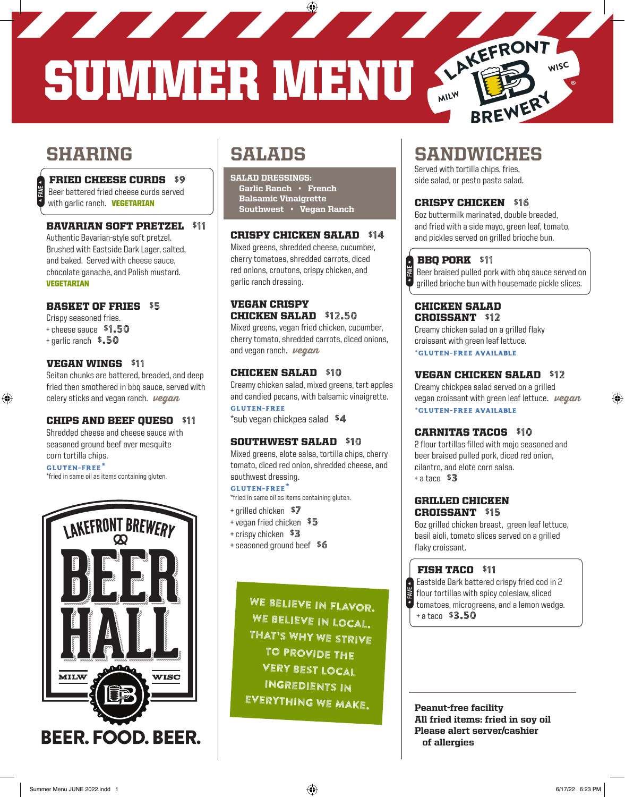<u> The Communication of the Communication of the Communication of the Communication of the Communication of the Communication of the Communication of the Communication of the Communication of the Communication of the Commun</u> SUMMER MENU ARKEFRONT

# **SHARING**

H **FAVE** H

⊕

#### FRIED CHEESE CURDS \$9

 Beer battered fried cheese curds served with garlic ranch. **VEGETARIAN** 

#### BAVARIAN SOFT PRETZEL \$11

Authentic Bavarian-style soft pretzel. Brushed with Eastside Dark Lager, salted, and baked. Served with cheese sauce, chocolate ganache, and Polish mustard. VEGETARIAN

#### BASKET OF FRIES \$5

- Crispy seasoned fries. + cheese sauce \$1.50
- + garlic ranch \$.50
- 

#### VEGAN WINGS \$11

Seitan chunks are battered, breaded, and deep fried then smothered in bbq sauce, served with celery sticks and vegan ranch.  $\nu$ egan

#### CHIPS AND BEEF QUESO \$11

Shredded cheese and cheese sauce with seasoned ground beef over mesquite corn tortilla chips.

#### **gluten-free\***

\*fried in same oil as items containing gluten.



# SALADS

SALAD DRESSINGS: Garlic Ranch • French Balsamic Vinaigrette Southwest • Vegan Ranch

#### CRISPY CHICKEN SALAD \$14

Mixed greens, shredded cheese, cucumber, cherry tomatoes, shredded carrots, diced red onions, croutons, crispy chicken, and garlic ranch dressing.

### VEGAN CRISPY CHICKEN SALAD \$12.50

Mixed greens, vegan fried chicken, cucumber, cherry tomato, shredded carrots, diced onions, and vegan ranch.  $\nu$ egan

#### CHICKEN SALAD \$10

Creamy chicken salad, mixed greens, tart apples and candied pecans, with balsamic vinaigrette. **gluten-free**

\*sub vegan chickpea salad \$4

#### SOUTHWEST SALAD \$10

Mixed greens, elote salsa, tortilla chips, cherry tomato, diced red onion, shredded cheese, and southwest dressing.

#### **gluten-free\***

- \*fried in same oil as items containing gluten.
- + grilled chicken \$7
- + vegan fried chicken \$5
- + crispy chicken \$3
- + seasoned ground beef \$6

WE BELIEVE IN FLAVOR. WE BELIEVE IN LOCAL. That's why we strive to provide the very best local ingredients in EVERYTHING WE MAKE.

# SANDWICHES

BREWERY

WISC

Served with tortilla chips, fries, side salad, or pesto pasta salad.

#### CRISPY CHICKEN \$16

6oz buttermilk marinated, double breaded, and fried with a side mayo, green leaf, tomato, and pickles served on grilled brioche bun.

# BBQ PORK \$11 H **FAVE** H

 Beer braised pulled pork with bbq sauce served on grilled brioche bun with housemade pickle slices.

#### CHICKEN SALAD CROISSANT \$12

Creamy chicken salad on a grilled flaky croissant with green leaf lettuce. **\*gluten-free AVAILABLE**

#### VEGAN CHICKEN SALAD \$12

Creamy chickpea salad served on a grilled vegan croissant with green leaf lettuce.  $\nu$ egan **\*gluten-free AVAILABLE**

#### CARNITAS TACOS \$10

2 flour tortillas filled with mojo seasoned and beer braised pulled pork, diced red onion, cilantro, and elote corn salsa.  $+$  a tacn  $$3$ 

#### GRILLED CHICKEN CROISSANT \$15

6oz grilled chicken breast, green leaf lettuce, basil aioli, tomato slices served on a grilled flaky croissant.

## FISH TACO \$11

 Eastside Dark battered crispy fried cod in 2 flour tortillas with spicy coleslaw, sliced tomatoes, microgreens, and a lemon wedge. + a taco \$3.50 H **FAVE** H

Peanut-free facility All fried items: fried in soy oil Please alert server/cashier of allergies

⊕